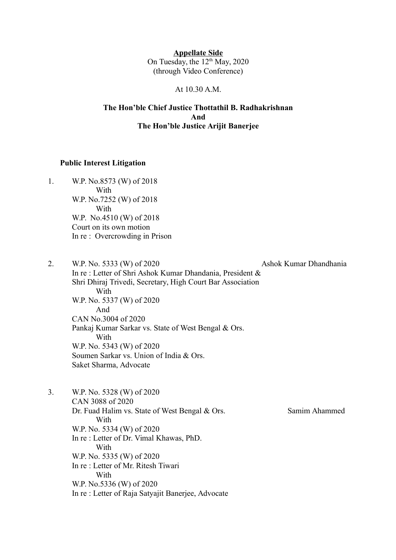**Appellate Side** On Tuesday, the  $12<sup>th</sup>$  May, 2020 (through Video Conference)

At 10.30 A.M.

#### **The Hon'ble Chief Justice Thottathil B. Radhakrishnan And The Hon'ble Justice Arijit Banerjee**

#### **Public Interest Litigation**

- 1. W.P. No.8573 (W) of 2018 With W.P. No.7252 (W) of 2018 With W.P. No.4510 (W) of 2018 Court on its own motion In re : Overcrowding in Prison
- 2. W.P. No. 5333 (W) of 2020 Ashok Kumar Dhandhania In re : Letter of Shri Ashok Kumar Dhandania, President & Shri Dhiraj Trivedi, Secretary, High Court Bar Association **With** W.P. No. 5337 (W) of 2020 And CAN No.3004 of 2020 Pankaj Kumar Sarkar vs. State of West Bengal & Ors. With W.P. No. 5343 (W) of 2020 Soumen Sarkar vs. Union of India & Ors. Saket Sharma, Advocate
- 3. W.P. No. 5328 (W) of 2020 CAN 3088 of 2020 Dr. Fuad Halim vs. State of West Bengal & Ors. Samim Ahammed With W.P. No. 5334 (W) of 2020 In re : Letter of Dr. Vimal Khawas, PhD. **With** W.P. No. 5335 (W) of 2020 In re : Letter of Mr. Ritesh Tiwari With W.P. No.5336 (W) of 2020 In re : Letter of Raja Satyajit Banerjee, Advocate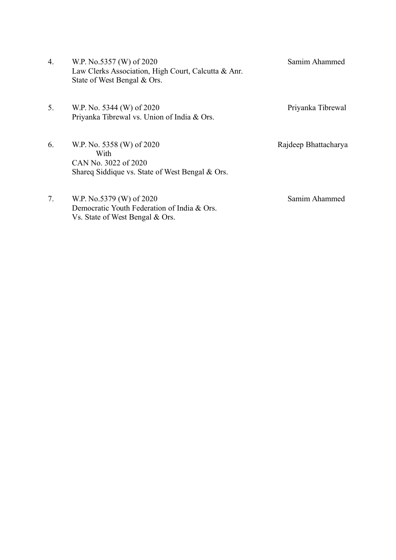| 4. | W.P. No.5357 (W) of 2020<br>Law Clerks Association, High Court, Calcutta & Anr.<br>State of West Bengal & Ors. | Samim Ahammed        |
|----|----------------------------------------------------------------------------------------------------------------|----------------------|
| 5. | W.P. No. 5344 (W) of 2020<br>Priyanka Tibrewal vs. Union of India & Ors.                                       | Priyanka Tibrewal    |
| 6. | W.P. No. 5358 (W) of 2020<br>With<br>CAN No. 3022 of 2020<br>Shared Siddique vs. State of West Bengal & Ors.   | Rajdeep Bhattacharya |
| 7. | W.P. No.5379 (W) of 2020<br>Democratic Youth Federation of India & Ors.                                        | Samim Ahammed        |

Vs. State of West Bengal & Ors.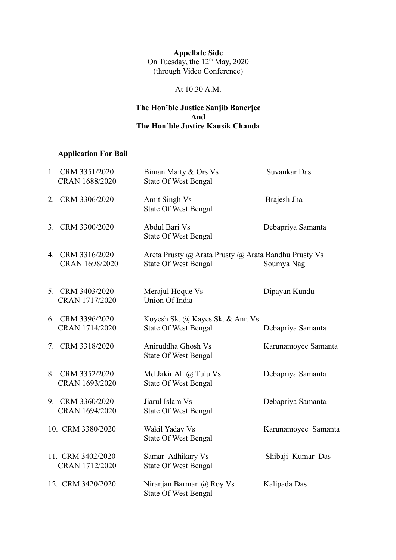#### **Appellate Side** On Tuesday, the  $12<sup>th</sup>$  May, 2020 (through Video Conference)

### At 10.30 A.M.

### **The Hon'ble Justice Sanjib Banerjee And The Hon'ble Justice Kausik Chanda**

## **Application For Bail**

| 1. CRM 3351/2020<br>CRAN 1688/2020  | Biman Maity & Ors Vs<br><b>State Of West Bengal</b>                                 | Suvankar Das        |
|-------------------------------------|-------------------------------------------------------------------------------------|---------------------|
| 2. CRM 3306/2020                    | Amit Singh Vs<br><b>State Of West Bengal</b>                                        | Brajesh Jha         |
| 3. CRM 3300/2020                    | Abdul Bari Vs<br><b>State Of West Bengal</b>                                        | Debapriya Samanta   |
| 4. CRM 3316/2020<br>CRAN 1698/2020  | Areta Prusty @ Arata Prusty @ Arata Bandhu Prusty Vs<br><b>State Of West Bengal</b> | Soumya Nag          |
| 5. CRM 3403/2020<br>CRAN 1717/2020  | Merajul Hoque Vs<br>Union Of India                                                  | Dipayan Kundu       |
| 6. CRM 3396/2020<br>CRAN 1714/2020  | Koyesh Sk. @ Kayes Sk. & Anr. Vs<br><b>State Of West Bengal</b>                     | Debapriya Samanta   |
| 7. CRM 3318/2020                    | Aniruddha Ghosh Vs<br><b>State Of West Bengal</b>                                   | Karunamoyee Samanta |
| 8. CRM 3352/2020<br>CRAN 1693/2020  | Md Jakir Ali @ Tulu Vs<br><b>State Of West Bengal</b>                               | Debapriya Samanta   |
| 9. CRM 3360/2020<br>CRAN 1694/2020  | Jiarul Islam Vs<br><b>State Of West Bengal</b>                                      | Debapriya Samanta   |
| 10. CRM 3380/2020                   | Wakil Yadav Vs<br><b>State Of West Bengal</b>                                       | Karunamoyee Samanta |
| 11. CRM 3402/2020<br>CRAN 1712/2020 | Samar Adhikary Vs<br><b>State Of West Bengal</b>                                    | Shibaji Kumar Das   |
| 12. CRM 3420/2020                   | Niranjan Barman @ Roy Vs<br><b>State Of West Bengal</b>                             | Kalipada Das        |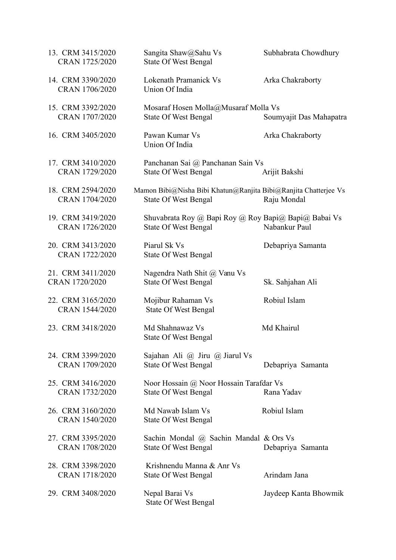| 13. CRM 3415/2020<br>CRAN 1725/2020 | Sangita Shaw@Sahu Vs<br><b>State Of West Bengal</b>                                            | Subhabrata Chowdhury    |
|-------------------------------------|------------------------------------------------------------------------------------------------|-------------------------|
| 14. CRM 3390/2020<br>CRAN 1706/2020 | Lokenath Pramanick Vs<br>Union Of India                                                        | Arka Chakraborty        |
| 15. CRM 3392/2020<br>CRAN 1707/2020 | Mosaraf Hosen Molla@Musaraf Molla Vs<br><b>State Of West Bengal</b>                            | Soumyajit Das Mahapatra |
| 16. CRM 3405/2020                   | Pawan Kumar Vs<br>Union Of India                                                               | Arka Chakraborty        |
| 17. CRM 3410/2020<br>CRAN 1729/2020 | Panchanan Sai @ Panchanan Sain Vs<br><b>State Of West Bengal</b>                               | Arijit Bakshi           |
| 18. CRM 2594/2020<br>CRAN 1704/2020 | Mamon Bibi@Nisha Bibi Khatun@Ranjita Bibi@Ranjita Chatterjee Vs<br><b>State Of West Bengal</b> | Raju Mondal             |
| 19. CRM 3419/2020<br>CRAN 1726/2020 | Shuvabrata Roy @ Bapi Roy @ Roy Bapi@ Bapi@ Babai Vs<br><b>State Of West Bengal</b>            | Nabankur Paul           |
| 20. CRM 3413/2020<br>CRAN 1722/2020 | Piarul Sk Vs<br><b>State Of West Bengal</b>                                                    | Debapriya Samanta       |
| 21. CRM 3411/2020<br>CRAN 1720/2020 | Nagendra Nath Shit @ Vanu Vs<br><b>State Of West Bengal</b>                                    | Sk. Sahjahan Ali        |
| 22. CRM 3165/2020<br>CRAN 1544/2020 | Mojibur Rahaman Vs<br><b>State Of West Bengal</b>                                              | Robiul Islam            |
| 23. CRM 3418/2020                   | Md Shahnawaz Vs<br><b>State Of West Bengal</b>                                                 | Md Khairul              |
| 24. CRM 3399/2020<br>CRAN 1709/2020 | Sajahan Ali $\omega$ Jiru $\omega$ Jiarul Vs<br><b>State Of West Bengal</b>                    | Debapriya Samanta       |
| 25. CRM 3416/2020<br>CRAN 1732/2020 | Noor Hossain @ Noor Hossain Tarafdar Vs<br><b>State Of West Bengal</b>                         | Rana Yadav              |
| 26. CRM 3160/2020<br>CRAN 1540/2020 | Md Nawab Islam Vs<br><b>State Of West Bengal</b>                                               | Robiul Islam            |
| 27. CRM 3395/2020<br>CRAN 1708/2020 | Sachin Mondal @ Sachin Mandal & Ors Vs<br><b>State Of West Bengal</b>                          | Debapriya Samanta       |
| 28. CRM 3398/2020<br>CRAN 1718/2020 | Krishnendu Manna & Anr Vs<br><b>State Of West Bengal</b>                                       | Arindam Jana            |
| 29. CRM 3408/2020                   | Nepal Barai Vs<br><b>State Of West Bengal</b>                                                  | Jaydeep Kanta Bhowmik   |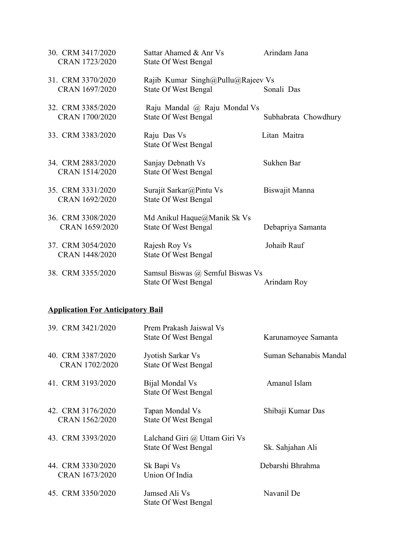| 30. CRM 3417/2020<br>CRAN 1723/2020 | Sattar Ahamed & Anr Vs<br><b>State Of West Bengal</b>            | Arindam Jana         |
|-------------------------------------|------------------------------------------------------------------|----------------------|
| 31. CRM 3370/2020<br>CRAN 1697/2020 | Rajib Kumar Singh@Pullu@Rajeev Vs<br><b>State Of West Bengal</b> | Sonali Das           |
| 32. CRM 3385/2020<br>CRAN 1700/2020 | Raju Mandal @ Raju Mondal Vs<br><b>State Of West Bengal</b>      | Subhabrata Chowdhury |
| 33. CRM 3383/2020                   | Raju Das Vs<br><b>State Of West Bengal</b>                       | Litan Maitra         |
| 34. CRM 2883/2020<br>CRAN 1514/2020 | Sanjay Debnath Vs<br><b>State Of West Bengal</b>                 | Sukhen Bar           |
| 35. CRM 3331/2020<br>CRAN 1692/2020 | Surajit Sarkar@Pintu Vs<br><b>State Of West Bengal</b>           | Biswajit Manna       |
| 36. CRM 3308/2020<br>CRAN 1659/2020 | Md Anikul Haque@Manik Sk Vs<br><b>State Of West Bengal</b>       | Debapriya Samanta    |
| 37. CRM 3054/2020<br>CRAN 1448/2020 | Rajesh Roy Vs<br><b>State Of West Bengal</b>                     | Johaib Rauf          |
| 38. CRM 3355/2020                   | Samsul Biswas @ Semful Biswas Vs<br><b>State Of West Bengal</b>  | Arindam Roy          |

#### **Application For Anticipatory Bail**

| 39. CRM 3421/2020                   | Prem Prakash Jaiswal Vs<br><b>State Of West Bengal</b>       | Karunamoyee Samanta    |
|-------------------------------------|--------------------------------------------------------------|------------------------|
| 40. CRM 3387/2020<br>CRAN 1702/2020 | Jyotish Sarkar Vs<br><b>State Of West Bengal</b>             | Suman Sehanabis Mandal |
| 41. CRM 3193/2020                   | Bijal Mondal Vs<br><b>State Of West Bengal</b>               | Amanul Islam           |
| 42. CRM 3176/2020<br>CRAN 1562/2020 | Tapan Mondal Vs<br><b>State Of West Bengal</b>               | Shibaji Kumar Das      |
| 43. CRM 3393/2020                   | Lalchand Giri @ Uttam Giri Vs<br><b>State Of West Bengal</b> | Sk. Sahjahan Ali       |
| 44. CRM 3330/2020<br>CRAN 1673/2020 | Sk Bapi Vs<br>Union Of India                                 | Debarshi Bhrahma       |
| 45. CRM 3350/2020                   | Jamsed Ali Vs<br><b>State Of West Bengal</b>                 | Navanil De             |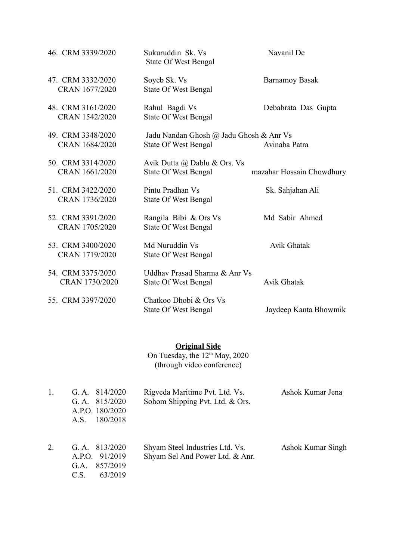| 46. CRM 3339/2020 | Sukuruddin Sk. Vs<br><b>State Of West Bengal</b> | Navanil De                |
|-------------------|--------------------------------------------------|---------------------------|
| 47. CRM 3332/2020 | Soyeb Sk. Vs                                     | <b>Barnamoy Basak</b>     |
| CRAN 1677/2020    | <b>State Of West Bengal</b>                      |                           |
| 48. CRM 3161/2020 | Rahul Bagdi Vs                                   | Debabrata Das Gupta       |
| CRAN 1542/2020    | <b>State Of West Bengal</b>                      |                           |
| 49. CRM 3348/2020 | Jadu Nandan Ghosh @ Jadu Ghosh & Anr Vs          |                           |
| CRAN 1684/2020    | <b>State Of West Bengal</b>                      | Avinaba Patra             |
| 50. CRM 3314/2020 | Avik Dutta @ Dablu & Ors. Vs                     |                           |
| CRAN 1661/2020    | <b>State Of West Bengal</b>                      | mazahar Hossain Chowdhury |
| 51. CRM 3422/2020 | Pintu Pradhan Vs                                 | Sk. Sahjahan Ali          |
| CRAN 1736/2020    | <b>State Of West Bengal</b>                      |                           |
| 52. CRM 3391/2020 | Rangila Bibi & Ors Vs                            | Md Sabir Ahmed            |
| CRAN 1705/2020    | <b>State Of West Bengal</b>                      |                           |
| 53. CRM 3400/2020 | Md Nuruddin Vs                                   | Avik Ghatak               |
| CRAN 1719/2020    | <b>State Of West Bengal</b>                      |                           |
| 54. CRM 3375/2020 | Uddhav Prasad Sharma & Anr Vs                    |                           |
| CRAN 1730/2020    | <b>State Of West Bengal</b>                      | <b>Avik Ghatak</b>        |
| 55. CRM 3397/2020 | Chatkoo Dhobi & Ors Vs                           |                           |
|                   | <b>State Of West Bengal</b>                      | Jaydeep Kanta Bhowmik     |

#### **Original Side**

On Tuesday, the  $12<sup>th</sup>$  May, 2020 (through video conference)

|    | 814/2020<br>G.A.<br>G.A. $815/2020$<br>A.P.O. 180/2020<br>180/2018<br>A.S. | Rigveda Maritime Pvt. Ltd. Vs.<br>Sohom Shipping Pvt. Ltd. & Ors.  | Ashok Kumar Jena  |
|----|----------------------------------------------------------------------------|--------------------------------------------------------------------|-------------------|
| 2. | G.A. $813/2020$<br>A.P.O. 91/2019<br>857/2019<br>G.A.<br>C.S.<br>63/2019   | Shyam Steel Industries Ltd. Vs.<br>Shyam Sel And Power Ltd. & Anr. | Ashok Kumar Singh |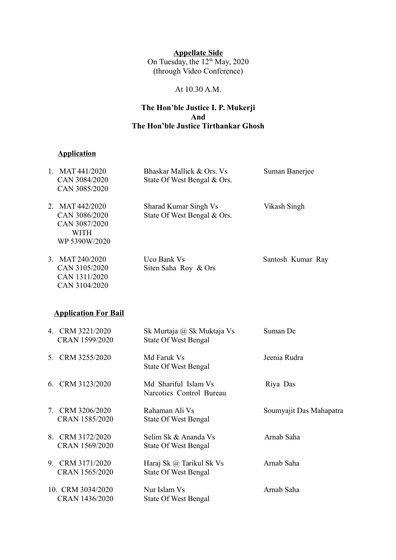#### **Appellate Side** On Tuesday, the  $12<sup>th</sup>$  May, 2020 (through Video Conference)

### At 10.30 A.M.

#### **The Hon'ble Justice I. P. Mukerji And The Hon'ble Justice Tirthankar Ghosh**

# **Application**

| 1. MAT 441/2020<br>CAN 3084/2020<br>CAN 3085/2020                                 | Bhaskar Mallick & Ors. Vs<br>State Of West Bengal & Ors.  | Suman Banerjee          |
|-----------------------------------------------------------------------------------|-----------------------------------------------------------|-------------------------|
| 2. MAT 442/2020<br>CAN 3086/2020<br>CAN 3087/2020<br><b>WITH</b><br>WP 5390W/2020 | Sharad Kumar Singh Vs<br>State Of West Bengal & Ors.      | Vikash Singh            |
| 3. MAT 240/2020<br>CAN 3105/2020<br>CAN 1311/2020<br>CAN 3104/2020                | Uco Bank Vs<br>Siten Saha Roy & Ors                       | Santosh Kumar Ray       |
| <b>Application For Bail</b>                                                       |                                                           |                         |
| 4. CRM 3221/2020<br>CRAN 1599/2020                                                | Sk Murtaja @ Sk Muktaja Vs<br><b>State Of West Bengal</b> | Suman De                |
| 5. CRM 3255/2020                                                                  | Md Faruk Vs<br><b>State Of West Bengal</b>                | Jeenia Rudra            |
| 6. CRM 3123/2020                                                                  | Md Shariful Islam Vs<br>Narcotics Control Bureau          | Riya Das                |
| 7. CRM 3206/2020<br>CRAN 1585/2020                                                | Rahaman Ali Vs<br><b>State Of West Bengal</b>             | Soumyajit Das Mahapatra |
| 8. CRM 3172/2020<br>CRAN 1569/2020                                                | Selim Sk & Ananda Vs<br><b>State Of West Bengal</b>       | Arnab Saha              |
| 9. CRM 3171/2020<br>CRAN 1565/2020                                                | Haraj Sk @ Tarikul Sk Vs<br><b>State Of West Bengal</b>   | Arnab Saha              |
| 10. CRM 3034/2020<br>CRAN 1436/2020                                               | Nur Islam Vs<br><b>State Of West Bengal</b>               | Arnab Saha              |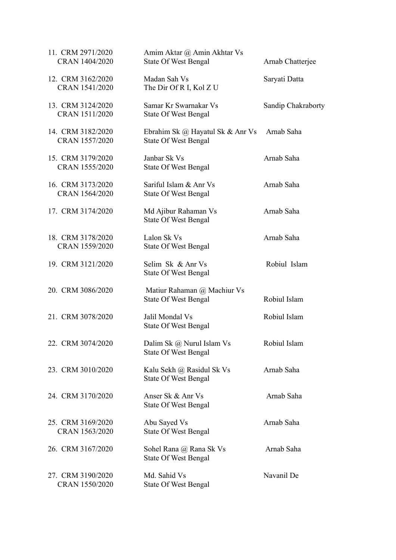| 11. CRM 2971/2020<br>CRAN 1404/2020 | Amim Aktar @ Amin Akhtar Vs<br><b>State Of West Bengal</b>      | Arnab Chatterjee   |
|-------------------------------------|-----------------------------------------------------------------|--------------------|
| 12. CRM 3162/2020<br>CRAN 1541/2020 | Madan Sah Vs<br>The Dir Of R I, Kol Z U                         | Saryati Datta      |
| 13. CRM 3124/2020<br>CRAN 1511/2020 | Samar Kr Swarnakar Vs<br><b>State Of West Bengal</b>            | Sandip Chakraborty |
| 14. CRM 3182/2020<br>CRAN 1557/2020 | Ebrahim Sk @ Hayatul Sk & Anr Vs<br><b>State Of West Bengal</b> | Arnab Saha         |
| 15. CRM 3179/2020<br>CRAN 1555/2020 | Janbar Sk Vs<br><b>State Of West Bengal</b>                     | Arnab Saha         |
| 16. CRM 3173/2020<br>CRAN 1564/2020 | Sariful Islam & Anr Vs<br><b>State Of West Bengal</b>           | Arnab Saha         |
| 17. CRM 3174/2020                   | Md Ajibur Rahaman Vs<br><b>State Of West Bengal</b>             | Arnab Saha         |
| 18. CRM 3178/2020<br>CRAN 1559/2020 | Lalon Sk Vs<br><b>State Of West Bengal</b>                      | Arnab Saha         |
| 19. CRM 3121/2020                   | Selim Sk & Anr Vs<br><b>State Of West Bengal</b>                | Robiul Islam       |
| 20. CRM 3086/2020                   | Matiur Rahaman @ Machiur Vs<br><b>State Of West Bengal</b>      | Robiul Islam       |
| 21. CRM 3078/2020                   | Jalil Mondal Vs<br><b>State Of West Bengal</b>                  | Robiul Islam       |
| 22. CRM 3074/2020                   | Dalim Sk @ Nurul Islam Vs<br><b>State Of West Bengal</b>        | Robiul Islam       |
| 23. CRM 3010/2020                   | Kalu Sekh @ Rasidul Sk Vs<br><b>State Of West Bengal</b>        | Arnab Saha         |
| 24. CRM 3170/2020                   | Anser Sk & Anr Vs<br><b>State Of West Bengal</b>                | Arnab Saha         |
| 25. CRM 3169/2020<br>CRAN 1563/2020 | Abu Sayed Vs<br><b>State Of West Bengal</b>                     | Arnab Saha         |
| 26. CRM 3167/2020                   | Sohel Rana @ Rana Sk Vs<br><b>State Of West Bengal</b>          | Arnab Saha         |
| 27. CRM 3190/2020<br>CRAN 1550/2020 | Md. Sahid Vs<br><b>State Of West Bengal</b>                     | Navanil De         |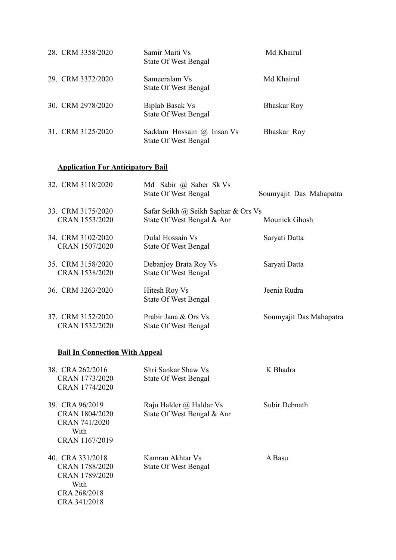| 28. CRM 3358/2020 | Samir Maiti Vs<br><b>State Of West Bengal</b>            | Md Khairul         |
|-------------------|----------------------------------------------------------|--------------------|
| 29. CRM 3372/2020 | Sameeralam Vs<br><b>State Of West Bengal</b>             | Md Khairul         |
| 30. CRM 2978/2020 | Biplab Basak Vs<br><b>State Of West Bengal</b>           | <b>Bhaskar Roy</b> |
| 31. CRM 3125/2020 | Saddam Hossain @ Insan Vs<br><b>State Of West Bengal</b> | Bhaskar Roy        |

## **Application For Anticipatory Bail**

| 32. CRM 3118/2020                   | Md Sabir @ Saber Sk Vs<br><b>State Of West Bengal</b> | Soumyajit Das Mahapatra |
|-------------------------------------|-------------------------------------------------------|-------------------------|
| 33. CRM 3175/2020<br>CRAN 1553/2020 | Safar Seikh @ Seikh Saphar & Ors Vs                   | Mounick Ghosh           |
|                                     | State Of West Bengal & Anr                            |                         |
| 34. CRM 3102/2020                   | Dulal Hossain Vs                                      | Saryati Datta           |
| CRAN 1507/2020                      | <b>State Of West Bengal</b>                           |                         |
| 35. CRM 3158/2020                   | Debanjoy Brata Roy Vs                                 | Saryati Datta           |
| CRAN 1538/2020                      | <b>State Of West Bengal</b>                           |                         |
| 36. CRM 3263/2020                   | Hitesh Roy Vs                                         | Jeenia Rudra            |
|                                     | <b>State Of West Bengal</b>                           |                         |
| 37. CRM 3152/2020                   | Prabir Jana & Ors Vs                                  | Soumyajit Das Mahapatra |
| CRAN 1532/2020                      | <b>State Of West Bengal</b>                           |                         |
|                                     |                                                       |                         |

# **Bail In Connection With Appeal**

| 38 CRA 262/2016<br>CRAN 1773/2020<br>CRAN 1774/2020                                         | Shri Sankar Shaw Vs<br><b>State Of West Bengal</b>    | K Bhadra      |
|---------------------------------------------------------------------------------------------|-------------------------------------------------------|---------------|
| 39. CRA 96/2019<br>CRAN 1804/2020<br>CRAN 741/2020<br>With<br>CRAN 1167/2019                | Raju Halder @ Haldar Vs<br>State Of West Bengal & Anr | Subir Debnath |
| 40 CRA 331/2018<br>CRAN 1788/2020<br>CRAN 1789/2020<br>With<br>CRA 268/2018<br>CRA 341/2018 | Kamran Akhtar Vs<br><b>State Of West Bengal</b>       | A Basu        |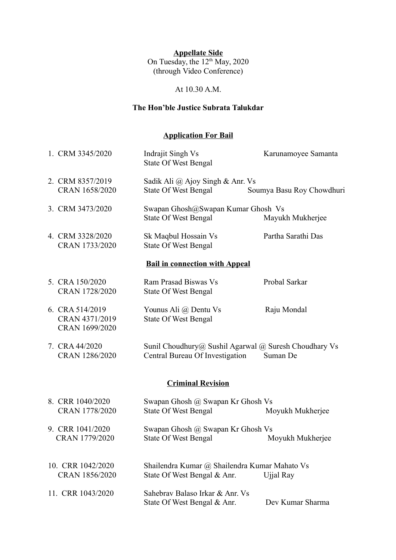#### **Appellate Side**

On Tuesday, the  $12<sup>th</sup>$  May, 2020 (through Video Conference)

### At 10.30 A.M.

### **The Hon'ble Justice Subrata Talukdar**

## **Application For Bail**

| 1. CRM 3345/2020                                    | Indrajit Singh Vs<br><b>State Of West Bengal</b>                                         | Karunamoyee Samanta       |  |
|-----------------------------------------------------|------------------------------------------------------------------------------------------|---------------------------|--|
| 2. CRM 8357/2019<br>CRAN 1658/2020                  | Sadik Ali @ Ajoy Singh & Anr. Vs<br><b>State Of West Bengal</b>                          | Soumya Basu Roy Chowdhuri |  |
| 3. CRM 3473/2020                                    | Swapan Ghosh@Swapan Kumar Ghosh Vs<br><b>State Of West Bengal</b>                        | Mayukh Mukherjee          |  |
| 4. CRM 3328/2020<br>CRAN 1733/2020                  | Sk Maqbul Hossain Vs<br><b>State Of West Bengal</b>                                      | Partha Sarathi Das        |  |
| <b>Bail in connection with Appeal</b>               |                                                                                          |                           |  |
| 5. CRA 150/2020<br>CRAN 1728/2020                   | Ram Prasad Biswas Vs<br><b>State Of West Bengal</b>                                      | Probal Sarkar             |  |
| 6. CRA 514/2019<br>CRAN 4371/2019<br>CRAN 1699/2020 | Younus Ali @ Dentu Vs<br><b>State Of West Bengal</b>                                     | Raju Mondal               |  |
| 7. CRA 44/2020<br>CRAN 1286/2020                    | Sunil Choudhury@ Sushil Agarwal @ Suresh Choudhary Vs<br>Central Bureau Of Investigation | Suman De                  |  |
| <b>Criminal Revision</b>                            |                                                                                          |                           |  |
| 8. CRR 1040/2020<br>CRAN 1778/2020                  | Swapan Ghosh @ Swapan Kr Ghosh Vs<br><b>State Of West Bengal</b>                         | Moyukh Mukherjee          |  |
| 9. CRR 1041/2020<br>CRAN 1779/2020                  | Swapan Ghosh @ Swapan Kr Ghosh Vs<br><b>State Of West Bengal</b>                         | Moyukh Mukherjee          |  |
| 10. CRR 1042/2020<br>CRAN 1856/2020                 | Shailendra Kumar @ Shailendra Kumar Mahato Vs<br>State Of West Bengal & Anr.             | Ujjal Ray                 |  |
| 11. CRR 1043/2020                                   | Sahebray Balaso Irkar & Anr. Vs<br>State Of West Bengal & Anr.                           | Dev Kumar Sharma          |  |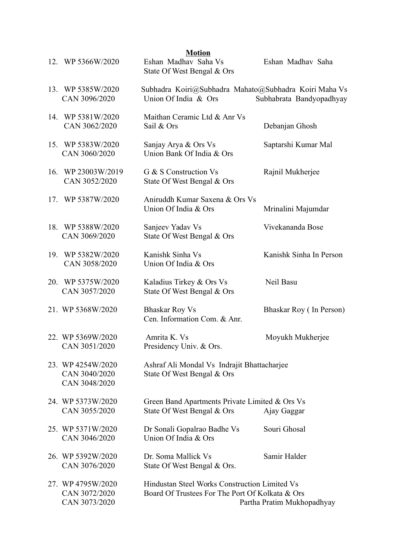|     | 12. WP 5366W/2020                                   | <b>Motion</b><br>Eshan Madhav Saha Vs<br>State Of West Bengal & Ors                              | Eshan Madhav Saha          |
|-----|-----------------------------------------------------|--------------------------------------------------------------------------------------------------|----------------------------|
|     | 13. WP 5385W/2020<br>CAN 3096/2020                  | Subhadra Koiri@Subhadra Mahato@Subhadra Koiri Maha Vs<br>Union Of India & Ors                    | Subhabrata Bandyopadhyay   |
| 14. | WP 5381W/2020<br>CAN 3062/2020                      | Maithan Ceramic Ltd & Anr Vs<br>Sail & Ors                                                       | Debanjan Ghosh             |
| 15. | WP 5383W/2020<br>CAN 3060/2020                      | Sanjay Arya & Ors Vs<br>Union Bank Of India & Ors                                                | Saptarshi Kumar Mal        |
| 16. | WP 23003W/2019<br>CAN 3052/2020                     | G & S Construction Vs<br>State Of West Bengal & Ors                                              | Rajnil Mukherjee           |
| 17. | WP 5387W/2020                                       | Aniruddh Kumar Saxena & Ors Vs<br>Union Of India & Ors                                           | Mrinalini Majumdar         |
|     | 18. WP 5388W/2020<br>CAN 3069/2020                  | Sanjeev Yadav Vs<br>State Of West Bengal & Ors                                                   | Vivekananda Bose           |
| 19. | WP 5382W/2020<br>CAN 3058/2020                      | Kanishk Sinha Vs<br>Union Of India & Ors                                                         | Kanishk Sinha In Person    |
| 20. | WP 5375W/2020<br>CAN 3057/2020                      | Kaladius Tirkey & Ors Vs<br>State Of West Bengal & Ors                                           | Neil Basu                  |
|     | 21. WP 5368W/2020                                   | <b>Bhaskar Roy Vs</b><br>Cen. Information Com. & Anr.                                            | Bhaskar Roy (In Person)    |
|     | 22. WP 5369W/2020<br>CAN 3051/2020                  | Amrita K. Vs<br>Presidency Univ. & Ors.                                                          | Moyukh Mukherjee           |
|     | 23. WP 4254W/2020<br>CAN 3040/2020<br>CAN 3048/2020 | Ashraf Ali Mondal Vs Indrajit Bhattacharjee<br>State Of West Bengal & Ors                        |                            |
|     | 24. WP 5373W/2020<br>CAN 3055/2020                  | Green Band Apartments Private Limited & Ors Vs<br>State Of West Bengal & Ors                     | Ajay Gaggar                |
|     | 25. WP 5371W/2020<br>CAN 3046/2020                  | Dr Sonali Gopalrao Badhe Vs<br>Union Of India & Ors                                              | Souri Ghosal               |
|     | 26. WP 5392W/2020<br>CAN 3076/2020                  | Dr. Soma Mallick Vs<br>State Of West Bengal & Ors.                                               | Samir Halder               |
|     | 27. WP 4795W/2020<br>CAN 3072/2020<br>CAN 3073/2020 | Hindustan Steel Works Construction Limited Vs<br>Board Of Trustees For The Port Of Kolkata & Ors | Partha Pratim Mukhopadhyay |